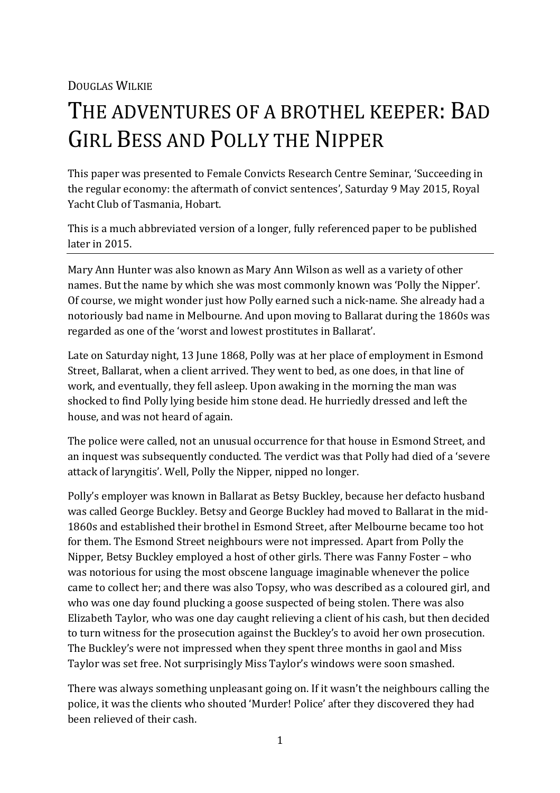DOUGLAS WILKIE

# THE ADVENTURES OF A BROTHEL KEEPER: BAD GIRL BESS AND POLLY THE NIPPER

This paper was presented to Female Convicts Research Centre Seminar, 'Succeeding in the regular economy: the aftermath of convict sentences', Saturday 9 May 2015, Royal Yacht Club of Tasmania, Hobart.

This is a much abbreviated version of a longer, fully referenced paper to be published later in 2015.

Mary Ann Hunter was also known as Mary Ann Wilson as well as a variety of other names. But the name by which she was most commonly known was 'Polly the Nipper'. Of course, we might wonder just how Polly earned such a nick-name. She already had a notoriously bad name in Melbourne. And upon moving to Ballarat during the 1860s was regarded as one of the 'worst and lowest prostitutes in Ballarat'.

Late on Saturday night, 13 June 1868, Polly was at her place of employment in Esmond Street, Ballarat, when a client arrived. They went to bed, as one does, in that line of work, and eventually, they fell asleep. Upon awaking in the morning the man was shocked to find Polly lying beside him stone dead. He hurriedly dressed and left the house, and was not heard of again.

The police were called, not an unusual occurrence for that house in Esmond Street, and an inquest was subsequently conducted. The verdict was that Polly had died of a 'severe attack of laryngitis'. Well, Polly the Nipper, nipped no longer.

Polly's employer was known in Ballarat as Betsy Buckley, because her defacto husband was called George Buckley. Betsy and George Buckley had moved to Ballarat in the mid-1860s and established their brothel in Esmond Street, after Melbourne became too hot for them. The Esmond Street neighbours were not impressed. Apart from Polly the Nipper, Betsy Buckley employed a host of other girls. There was Fanny Foster – who was notorious for using the most obscene language imaginable whenever the police came to collect her; and there was also Topsy, who was described as a coloured girl, and who was one day found plucking a goose suspected of being stolen. There was also Elizabeth Taylor, who was one day caught relieving a client of his cash, but then decided to turn witness for the prosecution against the Buckley's to avoid her own prosecution. The Buckley's were not impressed when they spent three months in gaol and Miss Taylor was set free. Not surprisingly Miss Taylor's windows were soon smashed.

There was always something unpleasant going on. If it wasn't the neighbours calling the police, it was the clients who shouted 'Murder! Police' after they discovered they had been relieved of their cash.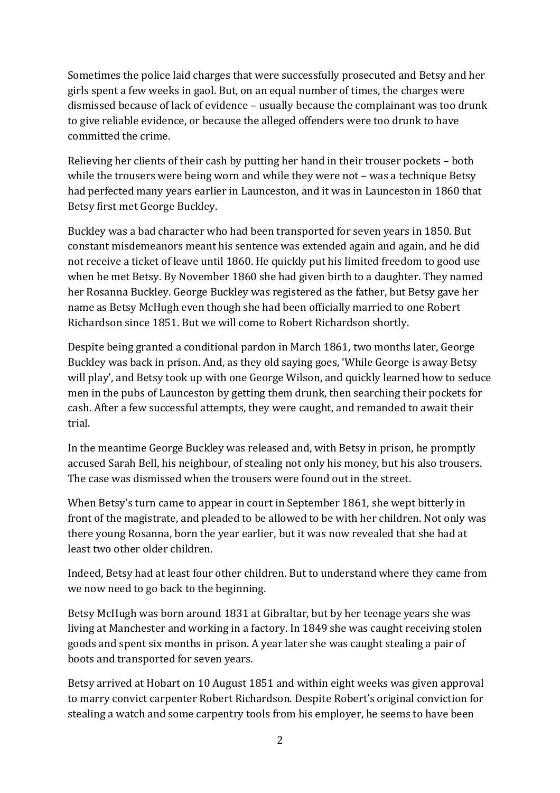Sometimes the police laid charges that were successfully prosecuted and Betsy and her girls spent a few weeks in gaol. But, on an equal number of times, the charges were dismissed because of lack of evidence – usually because the complainant was too drunk to give reliable evidence, or because the alleged offenders were too drunk to have committed the crime.

Relieving her clients of their cash by putting her hand in their trouser pockets – both while the trousers were being worn and while they were not – was a technique Betsy had perfected many years earlier in Launceston, and it was in Launceston in 1860 that Betsy first met George Buckley.

Buckley was a bad character who had been transported for seven years in 1850. But constant misdemeanors meant his sentence was extended again and again, and he did not receive a ticket of leave until 1860. He quickly put his limited freedom to good use when he met Betsy. By November 1860 she had given birth to a daughter. They named her Rosanna Buckley. George Buckley was registered as the father, but Betsy gave her name as Betsy McHugh even though she had been officially married to one Robert Richardson since 1851. But we will come to Robert Richardson shortly.

Despite being granted a conditional pardon in March 1861, two months later, George Buckley was back in prison. And, as they old saying goes, 'While George is away Betsy will play', and Betsy took up with one George Wilson, and quickly learned how to seduce men in the pubs of Launceston by getting them drunk, then searching their pockets for cash. After a few successful attempts, they were caught, and remanded to await their trial.

In the meantime George Buckley was released and, with Betsy in prison, he promptly accused Sarah Bell, his neighbour, of stealing not only his money, but his also trousers. The case was dismissed when the trousers were found out in the street.

When Betsy's turn came to appear in court in September 1861, she wept bitterly in front of the magistrate, and pleaded to be allowed to be with her children. Not only was there young Rosanna, born the year earlier, but it was now revealed that she had at least two other older children.

Indeed, Betsy had at least four other children. But to understand where they came from we now need to go back to the beginning.

Betsy McHugh was born around 1831 at Gibraltar, but by her teenage years she was living at Manchester and working in a factory. In 1849 she was caught receiving stolen goods and spent six months in prison. A year later she was caught stealing a pair of boots and transported for seven years.

Betsy arrived at Hobart on 10 August 1851 and within eight weeks was given approval to marry convict carpenter Robert Richardson. Despite Robert's original conviction for stealing a watch and some carpentry tools from his employer, he seems to have been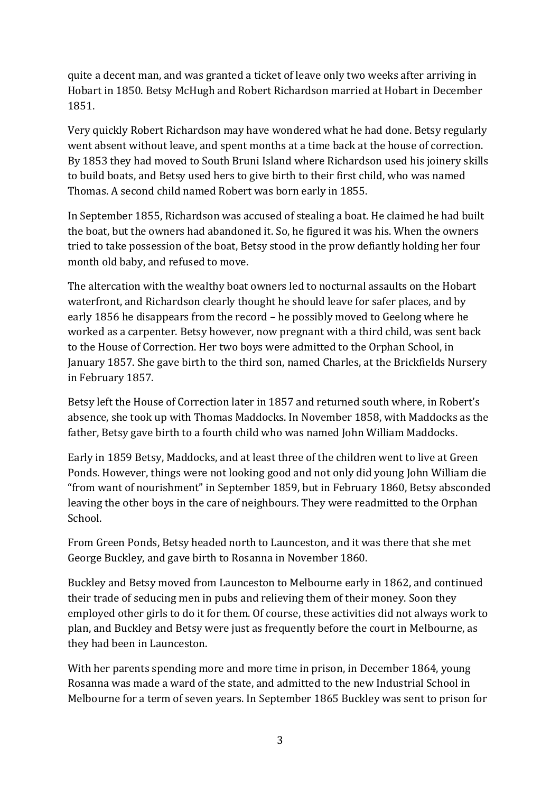quite a decent man, and was granted a ticket of leave only two weeks after arriving in Hobart in 1850. Betsy McHugh and Robert Richardson married at Hobart in December 1851.

Very quickly Robert Richardson may have wondered what he had done. Betsy regularly went absent without leave, and spent months at a time back at the house of correction. By 1853 they had moved to South Bruni Island where Richardson used his joinery skills to build boats, and Betsy used hers to give birth to their first child, who was named Thomas. A second child named Robert was born early in 1855.

In September 1855, Richardson was accused of stealing a boat. He claimed he had built the boat, but the owners had abandoned it. So, he figured it was his. When the owners tried to take possession of the boat, Betsy stood in the prow defiantly holding her four month old baby, and refused to move.

The altercation with the wealthy boat owners led to nocturnal assaults on the Hobart waterfront, and Richardson clearly thought he should leave for safer places, and by early 1856 he disappears from the record – he possibly moved to Geelong where he worked as a carpenter. Betsy however, now pregnant with a third child, was sent back to the House of Correction. Her two boys were admitted to the Orphan School, in January 1857. She gave birth to the third son, named Charles, at the Brickfields Nursery in February 1857.

Betsy left the House of Correction later in 1857 and returned south where, in Robert's absence, she took up with Thomas Maddocks. In November 1858, with Maddocks as the father, Betsy gave birth to a fourth child who was named John William Maddocks.

Early in 1859 Betsy, Maddocks, and at least three of the children went to live at Green Ponds. However, things were not looking good and not only did young John William die "from want of nourishment" in September 1859, but in February 1860, Betsy absconded leaving the other boys in the care of neighbours. They were readmitted to the Orphan School.

From Green Ponds, Betsy headed north to Launceston, and it was there that she met George Buckley, and gave birth to Rosanna in November 1860.

Buckley and Betsy moved from Launceston to Melbourne early in 1862, and continued their trade of seducing men in pubs and relieving them of their money. Soon they employed other girls to do it for them. Of course, these activities did not always work to plan, and Buckley and Betsy were just as frequently before the court in Melbourne, as they had been in Launceston.

With her parents spending more and more time in prison, in December 1864, young Rosanna was made a ward of the state, and admitted to the new Industrial School in Melbourne for a term of seven years. In September 1865 Buckley was sent to prison for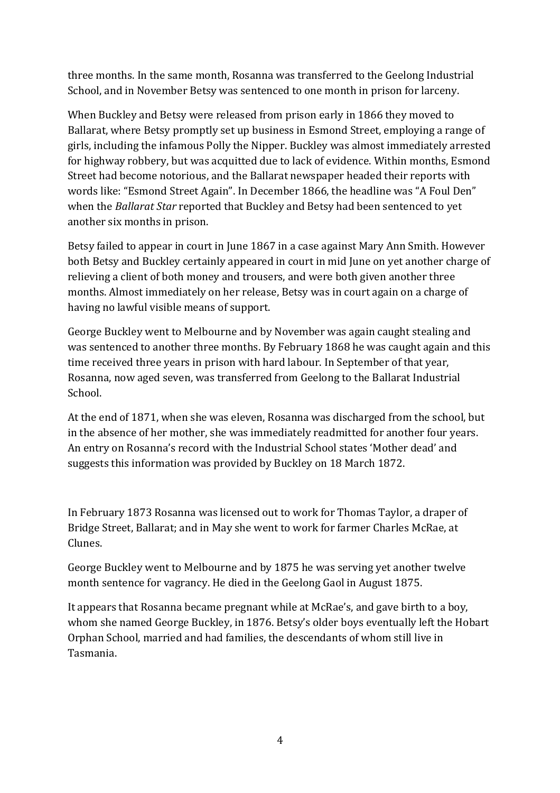three months. In the same month, Rosanna was transferred to the Geelong Industrial School, and in November Betsy was sentenced to one month in prison for larceny.

When Buckley and Betsy were released from prison early in 1866 they moved to Ballarat, where Betsy promptly set up business in Esmond Street, employing a range of girls, including the infamous Polly the Nipper. Buckley was almost immediately arrested for highway robbery, but was acquitted due to lack of evidence. Within months, Esmond Street had become notorious, and the Ballarat newspaper headed their reports with words like: "Esmond Street Again". In December 1866, the headline was "A Foul Den" when the *Ballarat Star* reported that Buckley and Betsy had been sentenced to yet another six months in prison.

Betsy failed to appear in court in June 1867 in a case against Mary Ann Smith. However both Betsy and Buckley certainly appeared in court in mid June on yet another charge of relieving a client of both money and trousers, and were both given another three months. Almost immediately on her release, Betsy was in court again on a charge of having no lawful visible means of support.

George Buckley went to Melbourne and by November was again caught stealing and was sentenced to another three months. By February 1868 he was caught again and this time received three years in prison with hard labour. In September of that year, Rosanna, now aged seven, was transferred from Geelong to the Ballarat Industrial School.

At the end of 1871, when she was eleven, Rosanna was discharged from the school, but in the absence of her mother, she was immediately readmitted for another four years. An entry on Rosanna's record with the Industrial School states 'Mother dead' and suggests this information was provided by Buckley on 18 March 1872.

In February 1873 Rosanna was licensed out to work for Thomas Taylor, a draper of Bridge Street, Ballarat; and in May she went to work for farmer Charles McRae, at Clunes.

George Buckley went to Melbourne and by 1875 he was serving yet another twelve month sentence for vagrancy. He died in the Geelong Gaol in August 1875.

It appears that Rosanna became pregnant while at McRae's, and gave birth to a boy, whom she named George Buckley, in 1876. Betsy's older boys eventually left the Hobart Orphan School, married and had families, the descendants of whom still live in Tasmania.